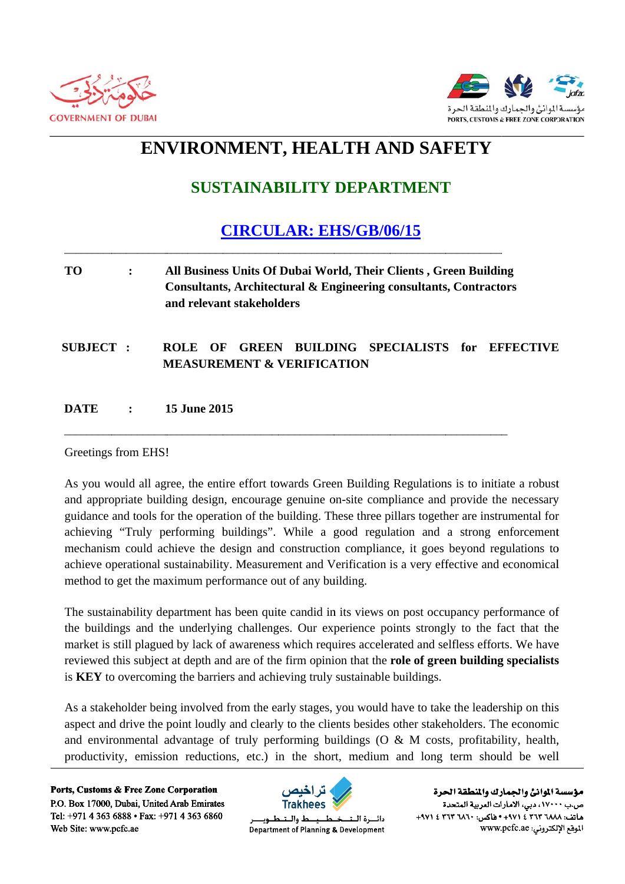



# ENVIRONMENT, HEALTH AND SAFETY

## **SUSTAINABILITY DEPARTMENT**

## **CIRCULAR: EHS/GB/06/15**

#### **TO** All Business Units Of Dubai World, Their Clients, Green Building  $\ddot{\cdot}$ Consultants, Architectural & Engineering consultants, Contractors and relevant stakeholders

### ROLE OF GREEN BUILDING SPECIALISTS for EFFECTIVE SUBJECT: **MEASUREMENT & VERIFICATION**

#### **DATE** 15 June 2015  $\ddot{\cdot}$

### Greetings from EHS!

As you would all agree, the entire effort towards Green Building Regulations is to initiate a robust and appropriate building design, encourage genuine on-site compliance and provide the necessary guidance and tools for the operation of the building. These three pillars together are instrumental for achieving "Truly performing buildings". While a good regulation and a strong enforcement mechanism could achieve the design and construction compliance, it goes beyond regulations to achieve operational sustainability. Measurement and Verification is a very effective and economical method to get the maximum performance out of any building.

The sustainability department has been quite candid in its views on post occupancy performance of the buildings and the underlying challenges. Our experience points strongly to the fact that the market is still plagued by lack of awareness which requires accelerated and selfless efforts. We have reviewed this subject at depth and are of the firm opinion that the role of green building specialists is KEY to overcoming the barriers and achieving truly sustainable buildings.

As a stakeholder being involved from the early stages, you would have to take the leadership on this aspect and drive the point loudly and clearly to the clients besides other stakeholders. The economic and environmental advantage of truly performing buildings ( $O & M$  costs, profitability, health, productivity, emission reductions, etc.) in the short, medium and long term should be well

Ports, Customs & Free Zone Corporation P.O. Box 17000, Dubai, United Arab Emirates Tel: +971 4 363 6888 • Fax: +971 4 363 6860 Web Site: www.pcfc.ae



ط والــتـ دائسرة اللت Department of Planning & Development

مؤسسة الموانئ والجمارك والنطقة الحرة ص.ب ١٧٠٠٠، دبي، الأمارات العربية المتحدة +٩٧١ ٤ ٢٦٣ ١٨٨٢ ٢٦٢ ١٤ ٠٠٠١٤ ٠٥١٤ ٠٠٠١ ١٩٧١. الموقع الإلكتروني: www.pcfc.ae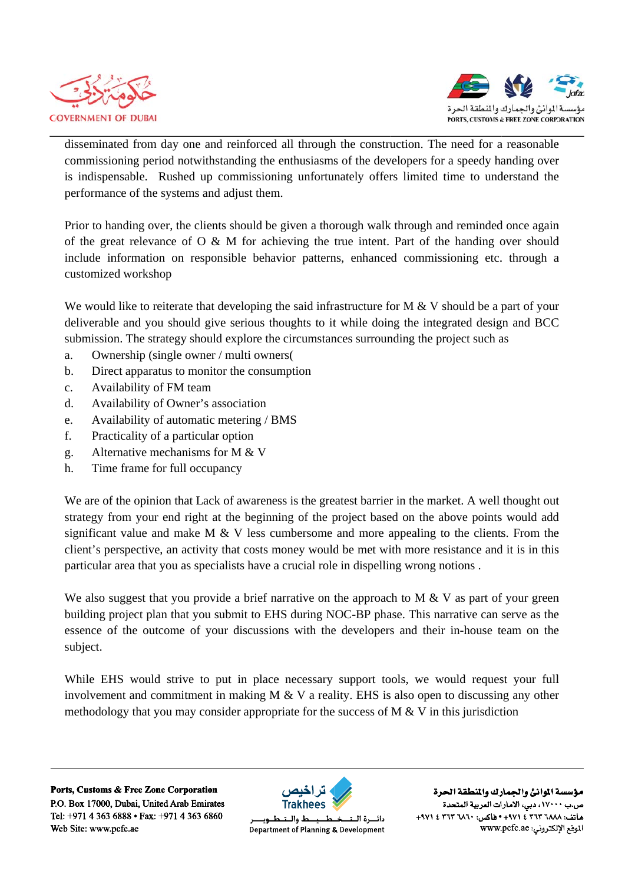



disseminated from day one and reinforced all through the construction. The need for a reasonable commissioning period notwithstanding the enthusiasms of the developers for a speedy handing over is indispensable. Rushed up commissioning unfortunately offers limited time to understand the performance of the systems and adjust them.

Prior to handing over, the clients should be given a thorough walk through and reminded once again of the great relevance of  $O \& M$  for achieving the true intent. Part of the handing over should include information on responsible behavior patterns, enhanced commissioning etc. through a customized workshop

We would like to reiterate that developing the said infrastructure for  $M \& V$  should be a part of your deliverable and you should give serious thoughts to it while doing the integrated design and BCC submission. The strategy should explore the circumstances surrounding the project such as

- Ownership (single owner / multi owners) a.
- Direct apparatus to monitor the consumption  $b.$
- Availability of FM team  $\mathbf{c}$ .
- d. Availability of Owner's association
- Availability of automatic metering / BMS e.
- f. Practicality of a particular option
- g. Alternative mechanisms for M & V
- $h_{-}$ Time frame for full occupancy

We are of the opinion that Lack of awareness is the greatest barrier in the market. A well thought out strategy from your end right at the beginning of the project based on the above points would add significant value and make M  $&$  V less cumbersome and more appealing to the clients. From the client's perspective, an activity that costs money would be met with more resistance and it is in this particular area that you as specialists have a crucial role in dispelling wrong notions.

We also suggest that you provide a brief narrative on the approach to M  $&$  V as part of your green building project plan that you submit to EHS during NOC-BP phase. This narrative can serve as the essence of the outcome of your discussions with the developers and their in-house team on the subject.

While EHS would strive to put in place necessary support tools, we would request your full involvement and commitment in making M & V a reality. EHS is also open to discussing any other methodology that you may consider appropriate for the success of  $M < V$  in this jurisdiction

Ports, Customs & Free Zone Corporation P.O. Box 17000, Dubai, United Arab Emirates Tel: +971 4 363 6888 • Fax: +971 4 363 6860 Web Site: www.pcfc.ae



 $\mathbf{b}$ ط والــتـ دائسرة البت Department of Planning & Development

مؤسسة الموانئ والجمارك والنطقة الحرة ص.ب ١٧٠٠٠، دبي، الأمارات العربية المتحدة +٩٧١ ٤ ٢٦٣ ١٨٨٢ ٢٦٢ ١٤ ٠٠٠١٤ ٠٥١٤ ٠٠٠١ ١٩٧١. الموقع الإلكتروني: www.pcfc.ae